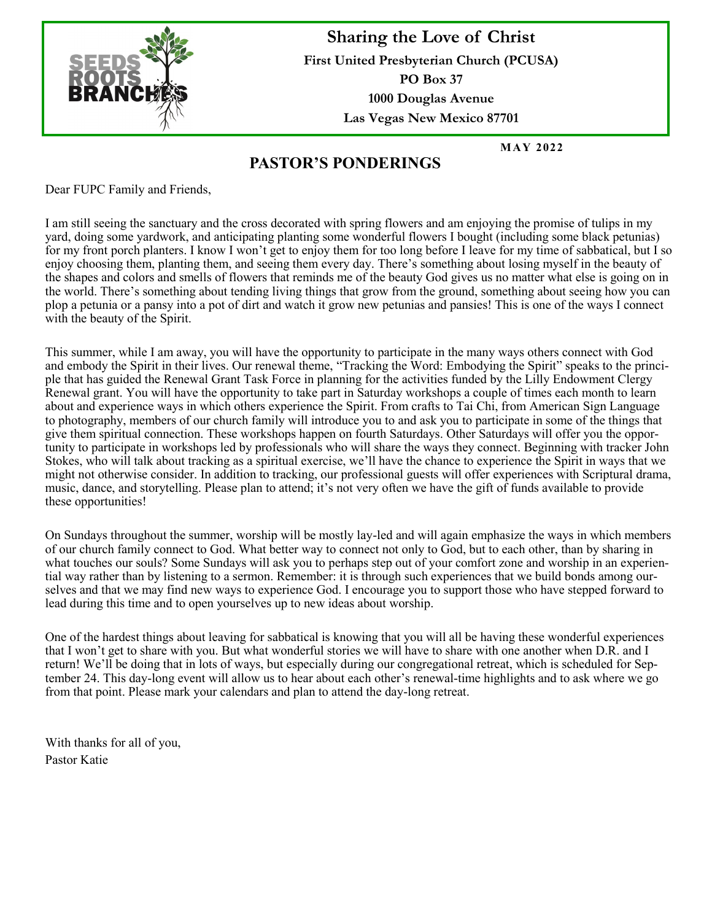

**Sharing the Love of Christ First United Presbyterian Church (PCUSA) PO Box 37 1000 Douglas Avenue Las Vegas New Mexico 87701**

**M AY 2022**

### **PASTOR'S PONDERINGS**

Dear FUPC Family and Friends,

I am still seeing the sanctuary and the cross decorated with spring flowers and am enjoying the promise of tulips in my yard, doing some yardwork, and anticipating planting some wonderful flowers I bought (including some black petunias) for my front porch planters. I know I won't get to enjoy them for too long before I leave for my time of sabbatical, but I so enjoy choosing them, planting them, and seeing them every day. There's something about losing myself in the beauty of the shapes and colors and smells of flowers that reminds me of the beauty God gives us no matter what else is going on in the world. There's something about tending living things that grow from the ground, something about seeing how you can plop a petunia or a pansy into a pot of dirt and watch it grow new petunias and pansies! This is one of the ways I connect with the beauty of the Spirit.

This summer, while I am away, you will have the opportunity to participate in the many ways others connect with God and embody the Spirit in their lives. Our renewal theme, "Tracking the Word: Embodying the Spirit" speaks to the principle that has guided the Renewal Grant Task Force in planning for the activities funded by the Lilly Endowment Clergy Renewal grant. You will have the opportunity to take part in Saturday workshops a couple of times each month to learn about and experience ways in which others experience the Spirit. From crafts to Tai Chi, from American Sign Language to photography, members of our church family will introduce you to and ask you to participate in some of the things that give them spiritual connection. These workshops happen on fourth Saturdays. Other Saturdays will offer you the opportunity to participate in workshops led by professionals who will share the ways they connect. Beginning with tracker John Stokes, who will talk about tracking as a spiritual exercise, we'll have the chance to experience the Spirit in ways that we might not otherwise consider. In addition to tracking, our professional guests will offer experiences with Scriptural drama, music, dance, and storytelling. Please plan to attend; it's not very often we have the gift of funds available to provide these opportunities!

On Sundays throughout the summer, worship will be mostly lay-led and will again emphasize the ways in which members of our church family connect to God. What better way to connect not only to God, but to each other, than by sharing in what touches our souls? Some Sundays will ask you to perhaps step out of your comfort zone and worship in an experiential way rather than by listening to a sermon. Remember: it is through such experiences that we build bonds among ourselves and that we may find new ways to experience God. I encourage you to support those who have stepped forward to lead during this time and to open yourselves up to new ideas about worship.

One of the hardest things about leaving for sabbatical is knowing that you will all be having these wonderful experiences that I won't get to share with you. But what wonderful stories we will have to share with one another when D.R. and I return! We'll be doing that in lots of ways, but especially during our congregational retreat, which is scheduled for September 24. This day-long event will allow us to hear about each other's renewal-time highlights and to ask where we go from that point. Please mark your calendars and plan to attend the day-long retreat.

With thanks for all of you, Pastor Katie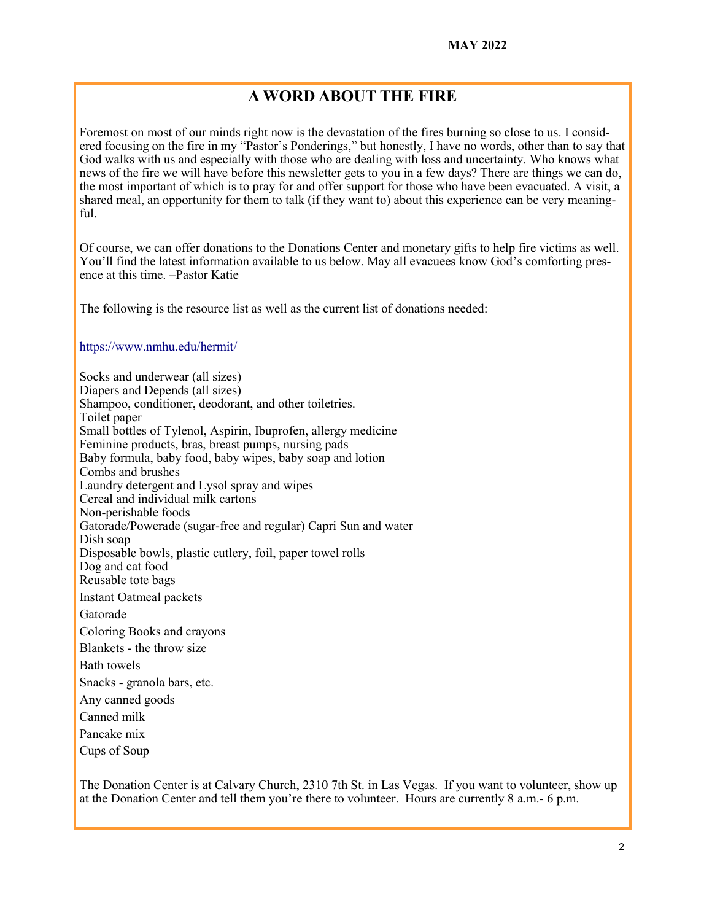### **A WORD ABOUT THE FIRE**

Foremost on most of our minds right now is the devastation of the fires burning so close to us. I considered focusing on the fire in my "Pastor's Ponderings," but honestly, I have no words, other than to say that God walks with us and especially with those who are dealing with loss and uncertainty. Who knows what news of the fire we will have before this newsletter gets to you in a few days? There are things we can do, the most important of which is to pray for and offer support for those who have been evacuated. A visit, a shared meal, an opportunity for them to talk (if they want to) about this experience can be very meaningful.

Of course, we can offer donations to the Donations Center and monetary gifts to help fire victims as well. You'll find the latest information available to us below. May all evacuees know God's comforting presence at this time. –Pastor Katie

The following is the resource list as well as the current list of donations needed:

<https://www.nmhu.edu/hermit/>

Socks and underwear (all sizes) Diapers and Depends (all sizes) Shampoo, conditioner, deodorant, and other toiletries. Toilet paper Small bottles of Tylenol, Aspirin, Ibuprofen, allergy medicine Feminine products, bras, breast pumps, nursing pads Baby formula, baby food, baby wipes, baby soap and lotion Combs and brushes Laundry detergent and Lysol spray and wipes Cereal and individual milk cartons Non-perishable foods Gatorade/Powerade (sugar-free and regular) Capri Sun and water Dish soap Disposable bowls, plastic cutlery, foil, paper towel rolls Dog and cat food Reusable tote bags Instant Oatmeal packets Gatorade Coloring Books and crayons Blankets - the throw size Bath towels Snacks - granola bars, etc. Any canned goods Canned milk Pancake mix

Cups of Soup

The Donation Center is at Calvary Church, 2310 7th St. in Las Vegas. If you want to volunteer, show up at the Donation Center and tell them you're there to volunteer. Hours are currently 8 a.m.- 6 p.m.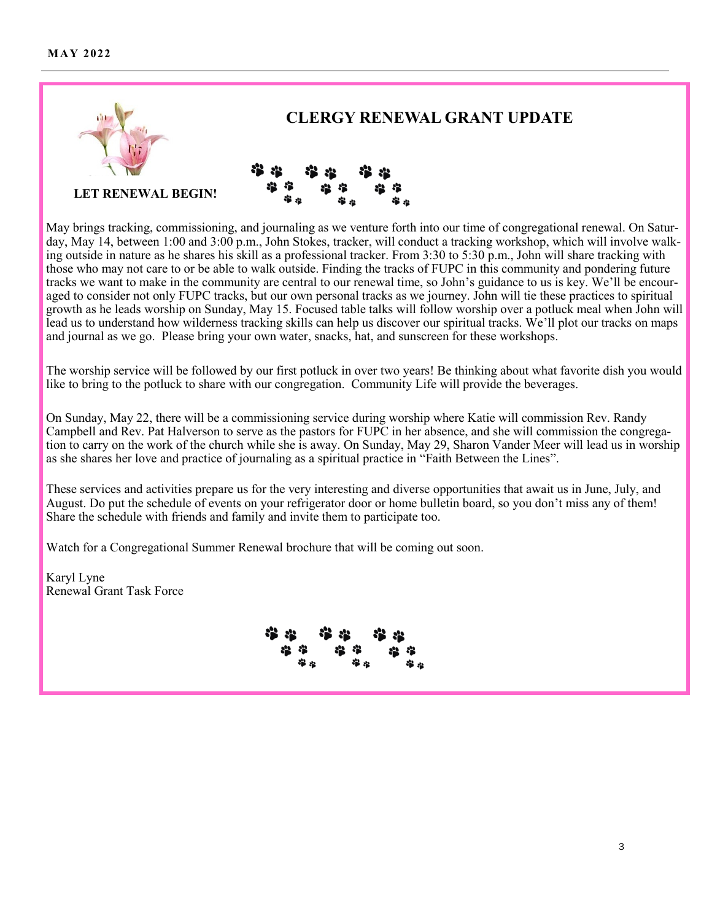### **M AY 2022**



May brings tracking, commissioning, and journaling as we venture forth into our time of congregational renewal. On Saturday, May 14, between 1:00 and 3:00 p.m., John Stokes, tracker, will conduct a tracking workshop, which will involve walking outside in nature as he shares his skill as a professional tracker. From 3:30 to 5:30 p.m., John will share tracking with those who may not care to or be able to walk outside. Finding the tracks of FUPC in this community and pondering future tracks we want to make in the community are central to our renewal time, so John's guidance to us is key. We'll be encouraged to consider not only FUPC tracks, but our own personal tracks as we journey. John will tie these practices to spiritual growth as he leads worship on Sunday, May 15. Focused table talks will follow worship over a potluck meal when John will lead us to understand how wilderness tracking skills can help us discover our spiritual tracks. We'll plot our tracks on maps and journal as we go. Please bring your own water, snacks, hat, and sunscreen for these workshops.

The worship service will be followed by our first potluck in over two years! Be thinking about what favorite dish you would like to bring to the potluck to share with our congregation. Community Life will provide the beverages.

On Sunday, May 22, there will be a commissioning service during worship where Katie will commission Rev. Randy Campbell and Rev. Pat Halverson to serve as the pastors for FUPC in her absence, and she will commission the congregation to carry on the work of the church while she is away. On Sunday, May 29, Sharon Vander Meer will lead us in worship as she shares her love and practice of journaling as a spiritual practice in "Faith Between the Lines".

These services and activities prepare us for the very interesting and diverse opportunities that await us in June, July, and August. Do put the schedule of events on your refrigerator door or home bulletin board, so you don't miss any of them! Share the schedule with friends and family and invite them to participate too.

Watch for a Congregational Summer Renewal brochure that will be coming out soon.

Karyl Lyne Renewal Grant Task Force

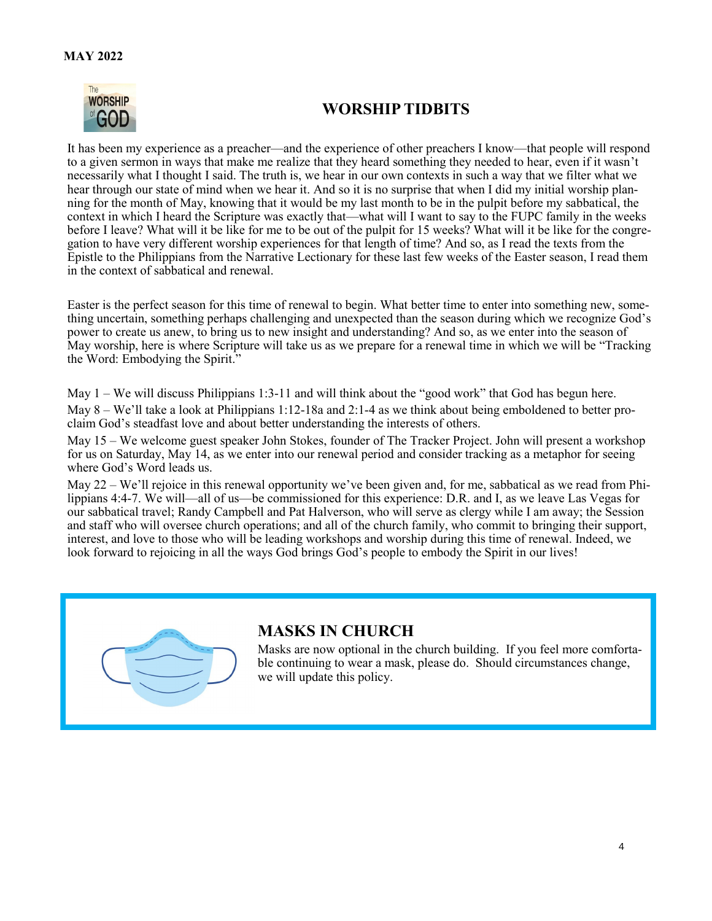

# **WORSHIP TIDBITS**

It has been my experience as a preacher—and the experience of other preachers I know—that people will respond to a given sermon in ways that make me realize that they heard something they needed to hear, even if it wasn't necessarily what I thought I said. The truth is, we hear in our own contexts in such a way that we filter what we hear through our state of mind when we hear it. And so it is no surprise that when I did my initial worship planning for the month of May, knowing that it would be my last month to be in the pulpit before my sabbatical, the context in which I heard the Scripture was exactly that—what will I want to say to the FUPC family in the weeks before I leave? What will it be like for me to be out of the pulpit for 15 weeks? What will it be like for the congregation to have very different worship experiences for that length of time? And so, as I read the texts from the Epistle to the Philippians from the Narrative Lectionary for these last few weeks of the Easter season, I read them in the context of sabbatical and renewal.

Easter is the perfect season for this time of renewal to begin. What better time to enter into something new, something uncertain, something perhaps challenging and unexpected than the season during which we recognize God's power to create us anew, to bring us to new insight and understanding? And so, as we enter into the season of May worship, here is where Scripture will take us as we prepare for a renewal time in which we will be "Tracking the Word: Embodying the Spirit."

May 1 – We will discuss Philippians 1:3-11 and will think about the "good work" that God has begun here. May 8 – We'll take a look at Philippians 1:12-18a and 2:1-4 as we think about being emboldened to better proclaim God's steadfast love and about better understanding the interests of others.

May 15 – We welcome guest speaker John Stokes, founder of The Tracker Project. John will present a workshop for us on Saturday, May 14, as we enter into our renewal period and consider tracking as a metaphor for seeing where God's Word leads us.

May 22 – We'll rejoice in this renewal opportunity we've been given and, for me, sabbatical as we read from Philippians 4:4-7. We will—all of us—be commissioned for this experience: D.R. and I, as we leave Las Vegas for our sabbatical travel; Randy Campbell and Pat Halverson, who will serve as clergy while I am away; the Session and staff who will oversee church operations; and all of the church family, who commit to bringing their support, interest, and love to those who will be leading workshops and worship during this time of renewal. Indeed, we look forward to rejoicing in all the ways God brings God's people to embody the Spirit in our lives!



### **MASKS IN CHURCH**

Masks are now optional in the church building. If you feel more comfortable continuing to wear a mask, please do. Should circumstances change, we will update this policy.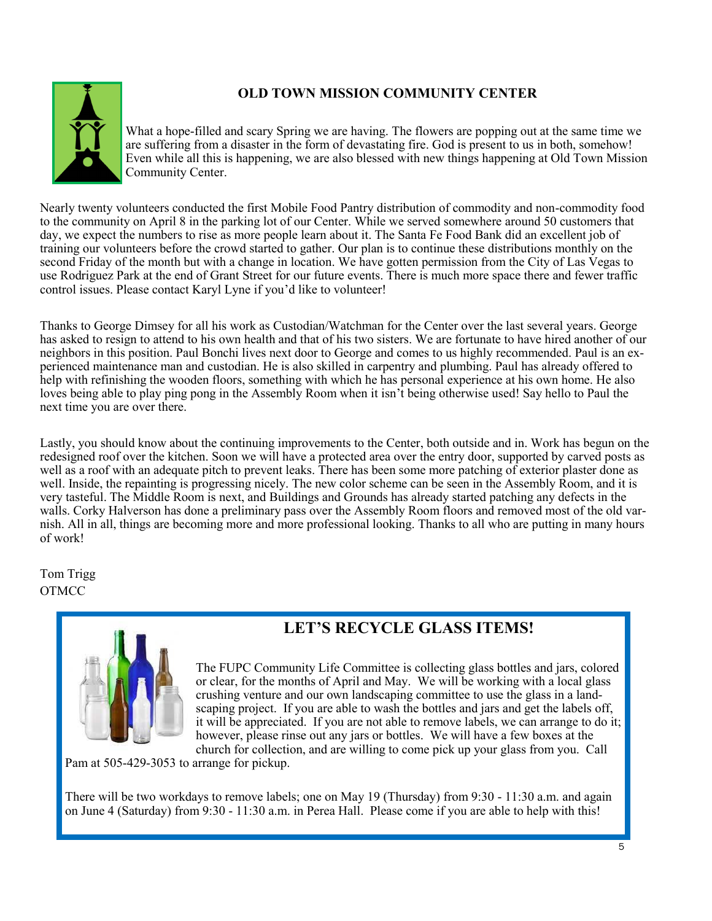### **OLD TOWN MISSION COMMUNITY CENTER**



What a hope-filled and scary Spring we are having. The flowers are popping out at the same time we are suffering from a disaster in the form of devastating fire. God is present to us in both, somehow! Even while all this is happening, we are also blessed with new things happening at Old Town Mission Community Center.

Nearly twenty volunteers conducted the first Mobile Food Pantry distribution of commodity and non-commodity food to the community on April 8 in the parking lot of our Center. While we served somewhere around 50 customers that day, we expect the numbers to rise as more people learn about it. The Santa Fe Food Bank did an excellent job of training our volunteers before the crowd started to gather. Our plan is to continue these distributions monthly on the second Friday of the month but with a change in location. We have gotten permission from the City of Las Vegas to use Rodriguez Park at the end of Grant Street for our future events. There is much more space there and fewer traffic control issues. Please contact Karyl Lyne if you'd like to volunteer!

Thanks to George Dimsey for all his work as Custodian/Watchman for the Center over the last several years. George has asked to resign to attend to his own health and that of his two sisters. We are fortunate to have hired another of our neighbors in this position. Paul Bonchi lives next door to George and comes to us highly recommended. Paul is an experienced maintenance man and custodian. He is also skilled in carpentry and plumbing. Paul has already offered to help with refinishing the wooden floors, something with which he has personal experience at his own home. He also loves being able to play ping pong in the Assembly Room when it isn't being otherwise used! Say hello to Paul the next time you are over there.

Lastly, you should know about the continuing improvements to the Center, both outside and in. Work has begun on the redesigned roof over the kitchen. Soon we will have a protected area over the entry door, supported by carved posts as well as a roof with an adequate pitch to prevent leaks. There has been some more patching of exterior plaster done as well. Inside, the repainting is progressing nicely. The new color scheme can be seen in the Assembly Room, and it is very tasteful. The Middle Room is next, and Buildings and Grounds has already started patching any defects in the walls. Corky Halverson has done a preliminary pass over the Assembly Room floors and removed most of the old varnish. All in all, things are becoming more and more professional looking. Thanks to all who are putting in many hours of work!

Tom Trigg **OTMCC** 



# **LET'S RECYCLE GLASS ITEMS!**

The FUPC Community Life Committee is collecting glass bottles and jars, colored or clear, for the months of April and May. We will be working with a local glass crushing venture and our own landscaping committee to use the glass in a landscaping project. If you are able to wash the bottles and jars and get the labels off, it will be appreciated. If you are not able to remove labels, we can arrange to do it; however, please rinse out any jars or bottles. We will have a few boxes at the church for collection, and are willing to come pick up your glass from you. Call

Pam at 505-429-3053 to arrange for pickup.

There will be two workdays to remove labels; one on May 19 (Thursday) from 9:30 - 11:30 a.m. and again on June 4 (Saturday) from 9:30 - 11:30 a.m. in Perea Hall. Please come if you are able to help with this!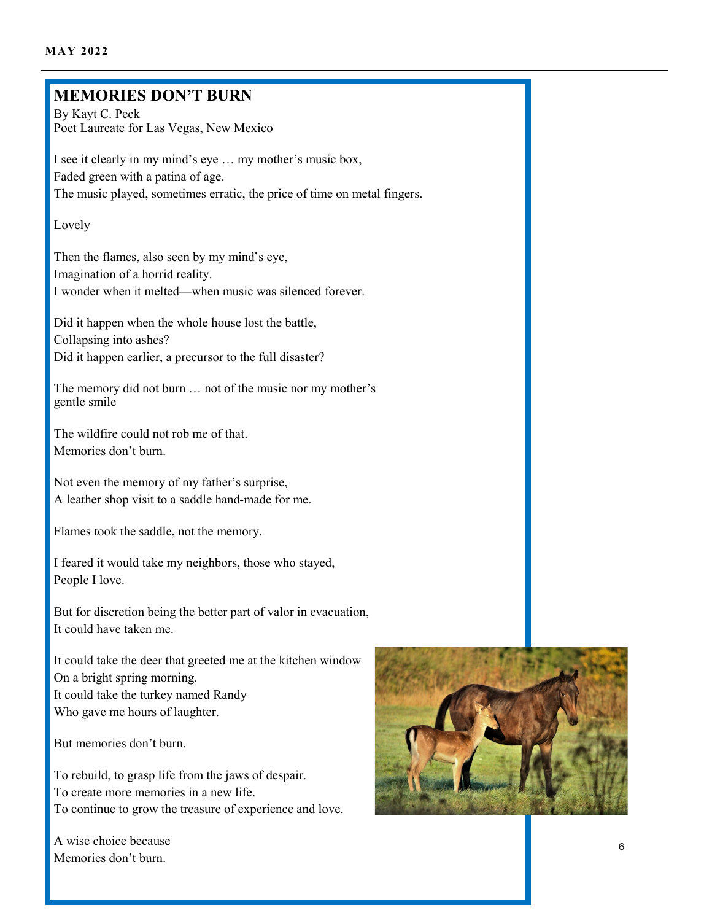### **MEMORIES DON'T BURN**

By Kayt C. Peck Poet Laureate for Las Vegas, New Mexico

I see it clearly in my mind's eye … my mother's music box, Faded green with a patina of age. The music played, sometimes erratic, the price of time on metal fingers.

Lovely

Then the flames, also seen by my mind's eye, Imagination of a horrid reality. I wonder when it melted—when music was silenced forever.

Did it happen when the whole house lost the battle, Collapsing into ashes? Did it happen earlier, a precursor to the full disaster?

The memory did not burn … not of the music nor my mother's gentle smile

The wildfire could not rob me of that. Memories don't burn.

Not even the memory of my father's surprise, A leather shop visit to a saddle hand-made for me.

Flames took the saddle, not the memory.

I feared it would take my neighbors, those who stayed, People I love.

But for discretion being the better part of valor in evacuation, It could have taken me.

It could take the deer that greeted me at the kitchen window On a bright spring morning. It could take the turkey named Randy Who gave me hours of laughter.

But memories don't burn.

To rebuild, to grasp life from the jaws of despair. To create more memories in a new life. To continue to grow the treasure of experience and love.

A wise choice because Memories don't burn.

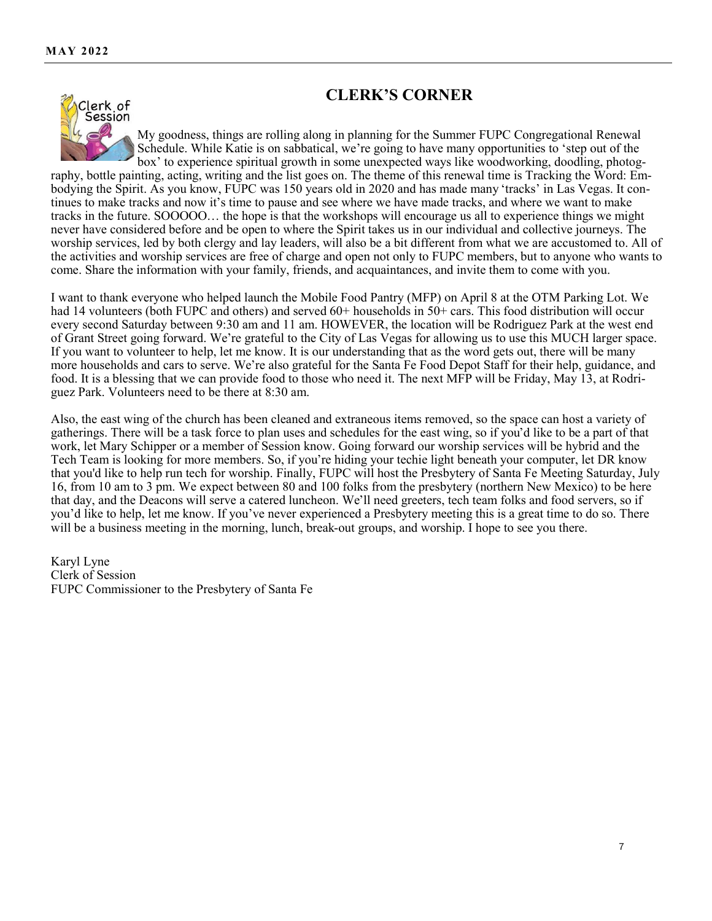### **CLERK'S CORNER**



My goodness, things are rolling along in planning for the Summer FUPC Congregational Renewal Schedule. While Katie is on sabbatical, we're going to have many opportunities to 'step out of the box' to experience spiritual growth in some unexpected ways like woodworking, doodling, photog-

raphy, bottle painting, acting, writing and the list goes on. The theme of this renewal time is Tracking the Word: Embodying the Spirit. As you know, FUPC was 150 years old in 2020 and has made many 'tracks' in Las Vegas. It continues to make tracks and now it's time to pause and see where we have made tracks, and where we want to make tracks in the future. SOOOOO… the hope is that the workshops will encourage us all to experience things we might never have considered before and be open to where the Spirit takes us in our individual and collective journeys. The worship services, led by both clergy and lay leaders, will also be a bit different from what we are accustomed to. All of the activities and worship services are free of charge and open not only to FUPC members, but to anyone who wants to come. Share the information with your family, friends, and acquaintances, and invite them to come with you.

I want to thank everyone who helped launch the Mobile Food Pantry (MFP) on April 8 at the OTM Parking Lot. We had 14 volunteers (both FUPC and others) and served 60+ households in 50+ cars. This food distribution will occur every second Saturday between 9:30 am and 11 am. HOWEVER, the location will be Rodriguez Park at the west end of Grant Street going forward. We're grateful to the City of Las Vegas for allowing us to use this MUCH larger space. If you want to volunteer to help, let me know. It is our understanding that as the word gets out, there will be many more households and cars to serve. We're also grateful for the Santa Fe Food Depot Staff for their help, guidance, and food. It is a blessing that we can provide food to those who need it. The next MFP will be Friday, May 13, at Rodriguez Park. Volunteers need to be there at 8:30 am.

Also, the east wing of the church has been cleaned and extraneous items removed, so the space can host a variety of gatherings. There will be a task force to plan uses and schedules for the east wing, so if you'd like to be a part of that work, let Mary Schipper or a member of Session know. Going forward our worship services will be hybrid and the Tech Team is looking for more members. So, if you're hiding your techie light beneath your computer, let DR know that you'd like to help run tech for worship. Finally, FUPC will host the Presbytery of Santa Fe Meeting Saturday, July 16, from 10 am to 3 pm. We expect between 80 and 100 folks from the presbytery (northern New Mexico) to be here that day, and the Deacons will serve a catered luncheon. We'll need greeters, tech team folks and food servers, so if you'd like to help, let me know. If you've never experienced a Presbytery meeting this is a great time to do so. There will be a business meeting in the morning, lunch, break-out groups, and worship. I hope to see you there.

Karyl Lyne Clerk of Session FUPC Commissioner to the Presbytery of Santa Fe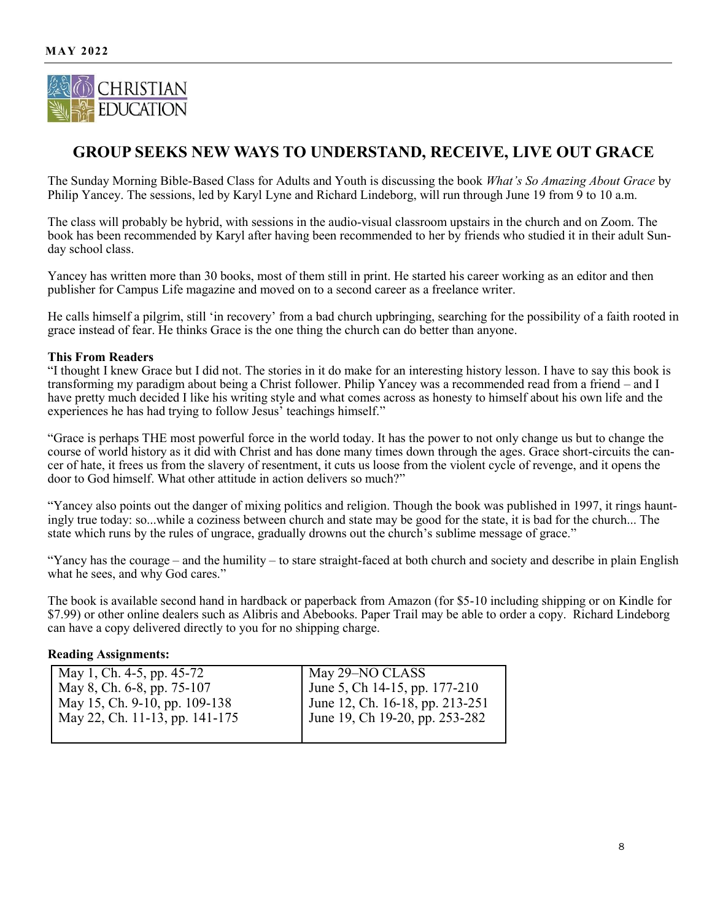

# **GROUP SEEKS NEW WAYS TO UNDERSTAND, RECEIVE, LIVE OUT GRACE**

The Sunday Morning Bible-Based Class for Adults and Youth is discussing the book *What's So Amazing About Grace* by Philip Yancey. The sessions, led by Karyl Lyne and Richard Lindeborg, will run through June 19 from 9 to 10 a.m.

The class will probably be hybrid, with sessions in the audio-visual classroom upstairs in the church and on Zoom. The book has been recommended by Karyl after having been recommended to her by friends who studied it in their adult Sunday school class.

Yancey has written more than 30 books, most of them still in print. He started his career working as an editor and then publisher for Campus Life magazine and moved on to a second career as a freelance writer.

He calls himself a pilgrim, still 'in recovery' from a bad church upbringing, searching for the possibility of a faith rooted in grace instead of fear. He thinks Grace is the one thing the church can do better than anyone.

### **This From Readers**

"I thought I knew Grace but I did not. The stories in it do make for an interesting history lesson. I have to say this book is transforming my paradigm about being a Christ follower. Philip Yancey was a recommended read from a friend – and I have pretty much decided I like his writing style and what comes across as honesty to himself about his own life and the experiences he has had trying to follow Jesus' teachings himself."

"Grace is perhaps THE most powerful force in the world today. It has the power to not only change us but to change the course of world history as it did with Christ and has done many times down through the ages. Grace short-circuits the cancer of hate, it frees us from the slavery of resentment, it cuts us loose from the violent cycle of revenge, and it opens the door to God himself. What other attitude in action delivers so much?"

"Yancey also points out the danger of mixing politics and religion. Though the book was published in 1997, it rings hauntingly true today: so...while a coziness between church and state may be good for the state, it is bad for the church... The state which runs by the rules of ungrace, gradually drowns out the church's sublime message of grace."

"Yancy has the courage – and the humility – to stare straight-faced at both church and society and describe in plain English what he sees, and why God cares."

The book is available second hand in hardback or paperback from Amazon (for \$5-10 including shipping or on Kindle for \$7.99) or other online dealers such as Alibris and Abebooks. Paper Trail may be able to order a copy. Richard Lindeborg can have a copy delivered directly to you for no shipping charge.

### **Reading Assignments:**

| May 1, Ch. 4-5, pp. 45-72      | May 29–NO CLASS                 |
|--------------------------------|---------------------------------|
| May 8, Ch. 6-8, pp. 75-107     | June 5, Ch 14-15, pp. 177-210   |
| May 15, Ch. 9-10, pp. 109-138  | June 12, Ch. 16-18, pp. 213-251 |
| May 22, Ch. 11-13, pp. 141-175 | June 19, Ch 19-20, pp. 253-282  |
|                                |                                 |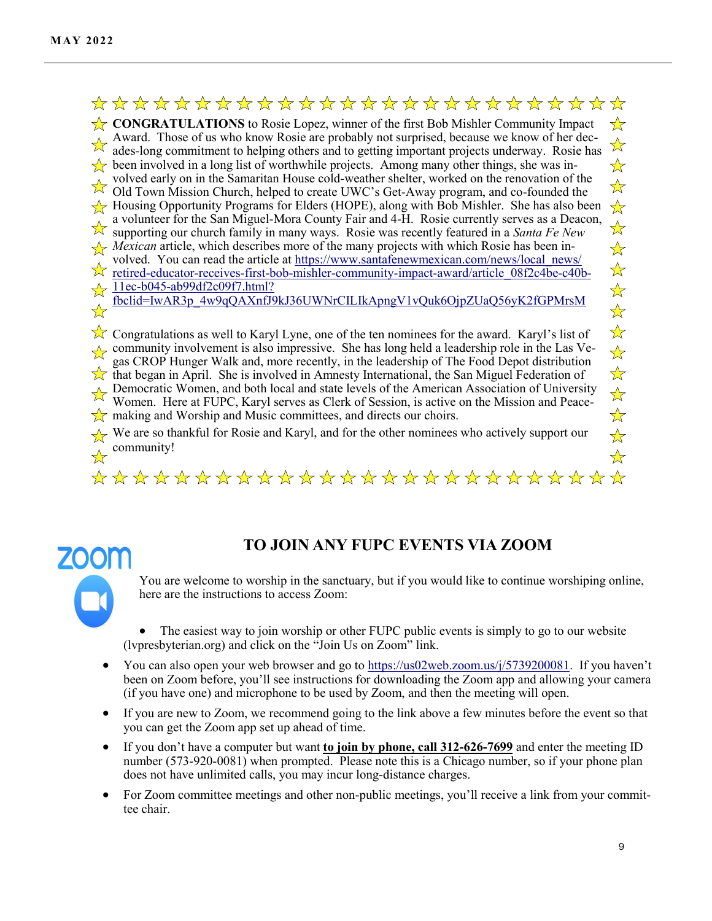### \*\*\*\*\*\*\*\*\*\*\*\*\*\*\*\*\*\*\*\*\*\*\*\*  $\frac{1}{2}$

**CONGRATULATIONS** to Rosie Lopez, winner of the first Bob Mishler Community Impact ╬ Award. Those of us who know Rosie are probably not surprised, because we know of her dec-<br>ades-long commitment to helping of the set of the set of the set of the set of the set of the set of the set of the set of the set  $\overrightarrow{\lambda}$ ades-long commitment to helping others and to getting important projects underway. Rosie has been involved in a long list of worthwhile projects. Among many other things, she was in-☆ volved early on in the Samaritan House cold-weather shelter, worked on the renovation of the  $\frac{\lambda}{\lambda}$ Old Town Mission Church, helped to create UWC's Get-Away program, and co-founded the  $\sqrt{\ }$  Housing Opportunity Programs for Elders (HOPE), along with Bob Mishler. She has also been  $\frac{1}{\sqrt{2}}$ a volunteer for the San Miguel-Mora County Fair and 4-H. Rosie currently serves as a Deacon,  $\frac{1}{\sqrt{2}}$ supporting our church family in many ways. Rosie was recently featured in a *Santa Fe New Mexican* article, which describes more of the many projects with which Rosie has been in- $\frac{1}{\sqrt{2}}$ volved. You can read the article at [https://www.santafenewmexican.com/news/local\\_news/](https://www.santafenewmexican.com/news/local_news/retired-educator-receives-first-bob-mishler-community-impact-award/article_08f2c4be-c40b-11ec-b045-ab99df2c09f7.html?fbclid=IwAR3p_4w9qQAXnfJ9kJ36UWNrCILIkApngV1vQuk6OjpZUaQ56yK2fGPMrsM)  $\frac{1}{\sqrt{2}}$  $\overline{\mathbf{x}}$ retired-educator-receives-first-bob-mishler-community-impact-[award/article\\_08f2c4be](https://www.santafenewmexican.com/news/local_news/retired-educator-receives-first-bob-mishler-community-impact-award/article_08f2c4be-c40b-11ec-b045-ab99df2c09f7.html?fbclid=IwAR3p_4w9qQAXnfJ9kJ36UWNrCILIkApngV1vQuk6OjpZUaQ56yK2fGPMrsM)-c40b- $\frac{11}{2}$  11ec-b045-[ab99df2c09f7.html?](https://www.santafenewmexican.com/news/local_news/retired-educator-receives-first-bob-mishler-community-impact-award/article_08f2c4be-c40b-11ec-b045-ab99df2c09f7.html?fbclid=IwAR3p_4w9qQAXnfJ9kJ36UWNrCILIkApngV1vQuk6OjpZUaQ56yK2fGPMrsM)  $\frac{1}{\sqrt{2}}$ [fbclid=IwAR3p\\_4w9qQAXnfJ9kJ36UWNrCILIkApngV1vQuk6OjpZUaQ56yK2fGPMrsM](https://www.santafenewmexican.com/news/local_news/retired-educator-receives-first-bob-mishler-community-impact-award/article_08f2c4be-c40b-11ec-b045-ab99df2c09f7.html?fbclid=IwAR3p_4w9qQAXnfJ9kJ36UWNrCILIkApngV1vQuk6OjpZUaQ56yK2fGPMrsM)  $\frac{1}{2}$  $\frac{1}{\sqrt{2}}$ 

 $\sqrt{\ }$  Congratulations as well to Karyl Lyne, one of the ten nominees for the award. Karyl's list of community involvement is also impressive. She has long held a leadership role in the Las Vegas CROP Hunger Walk and, more recently, in the leadership of The Food Depot distribution that began in April. She is involved in Amnesty International, the San Miguel Federation of Democratic Women, and both local and state levels of the American Association of University Women. Here at FUPC, Karyl serves as Clerk of Session, is active on the Mission and Peace- $\sqrt{\chi}$  making and Worship and Music committees, and directs our choirs.

We are so thankful for Rosie and Karyl, and for the other nominees who actively support our community! $\leftrightarrow$ 

 $\frac{1}{\sqrt{2}}$ \*\*\*\*\*\*\*\*\*\*\*\*\*\*\*\*\*\*\*\*\*\*\*\*  $\overline{\mathbf{r}}$ 

# **TO JOIN ANY FUPC EVENTS VIA ZOOM**

You are welcome to worship in the sanctuary, but if you would like to continue worshiping online, here are the instructions to access Zoom:

The easiest way to join worship or other FUPC public events is simply to go to our website (lvpresbyterian.org) and click on the "Join Us on Zoom" link.

- You can also open your web browser and go to [https://us02web.zoom.us/j/5739200081.](https://us02web.zoom.us/j/5739200081) If you haven't been on Zoom before, you'll see instructions for downloading the Zoom app and allowing your camera (if you have one) and microphone to be used by Zoom, and then the meeting will open.
- If you are new to Zoom, we recommend going to the link above a few minutes before the event so that you can get the Zoom app set up ahead of time.
- If you don't have a computer but want **to join by phone, call 312-626-7699** and enter the meeting ID number (573-920-0081) when prompted. Please note this is a Chicago number, so if your phone plan does not have unlimited calls, you may incur long-distance charges.
- For Zoom committee meetings and other non-public meetings, you'll receive a link from your committee chair.

 $\frac{1}{\sqrt{2}}$  $\frac{1}{\sqrt{2}}$  $\frac{1}{\sqrt{2}}$  $\frac{1}{2}$  $\frac{\lambda}{\lambda}$  $\frac{1}{\sqrt{2}}$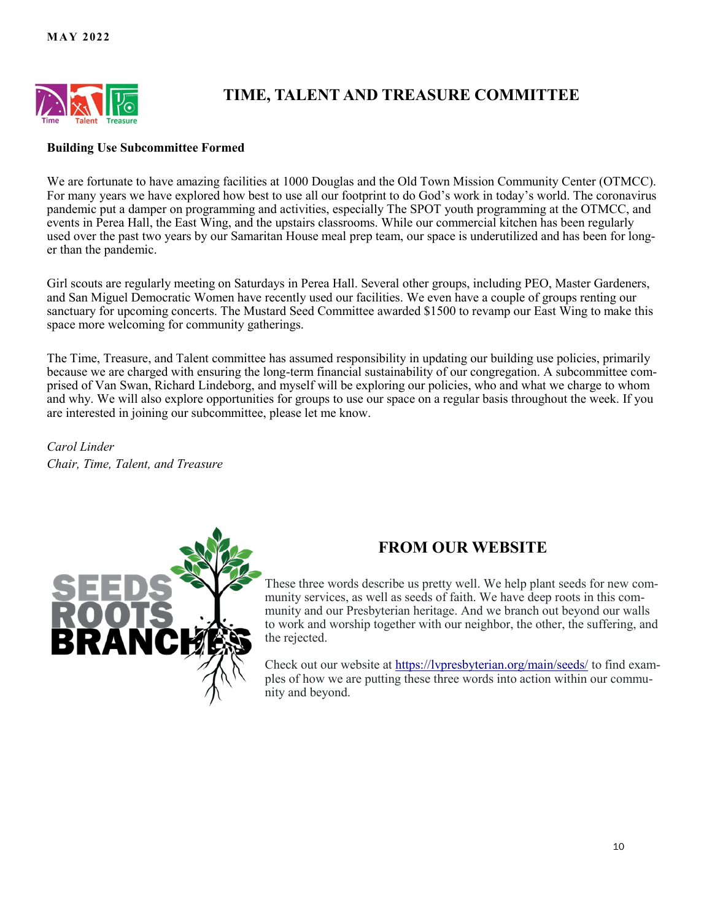

# **TIME, TALENT AND TREASURE COMMITTEE**

### **Building Use Subcommittee Formed**

We are fortunate to have amazing facilities at 1000 Douglas and the Old Town Mission Community Center (OTMCC). For many years we have explored how best to use all our footprint to do God's work in today's world. The coronavirus pandemic put a damper on programming and activities, especially The SPOT youth programming at the OTMCC, and events in Perea Hall, the East Wing, and the upstairs classrooms. While our commercial kitchen has been regularly used over the past two years by our Samaritan House meal prep team, our space is underutilized and has been for longer than the pandemic.

Girl scouts are regularly meeting on Saturdays in Perea Hall. Several other groups, including PEO, Master Gardeners, and San Miguel Democratic Women have recently used our facilities. We even have a couple of groups renting our sanctuary for upcoming concerts. The Mustard Seed Committee awarded \$1500 to revamp our East Wing to make this space more welcoming for community gatherings.

The Time, Treasure, and Talent committee has assumed responsibility in updating our building use policies, primarily because we are charged with ensuring the long-term financial sustainability of our congregation. A subcommittee comprised of Van Swan, Richard Lindeborg, and myself will be exploring our policies, who and what we charge to whom and why. We will also explore opportunities for groups to use our space on a regular basis throughout the week. If you are interested in joining our subcommittee, please let me know.

*Carol Linder Chair, Time, Talent, and Treasure*



### **FROM OUR WEBSITE**

These three words describe us pretty well. We help plant seeds for new community services, as well as seeds of faith. We have deep roots in this community and our Presbyterian heritage. And we branch out beyond our walls to work and worship together with our neighbor, the other, the suffering, and the rejected.

Check out our website at<https://lvpresbyterian.org/main/seeds/> to find examples of how we are putting these three words into action within our community and beyond.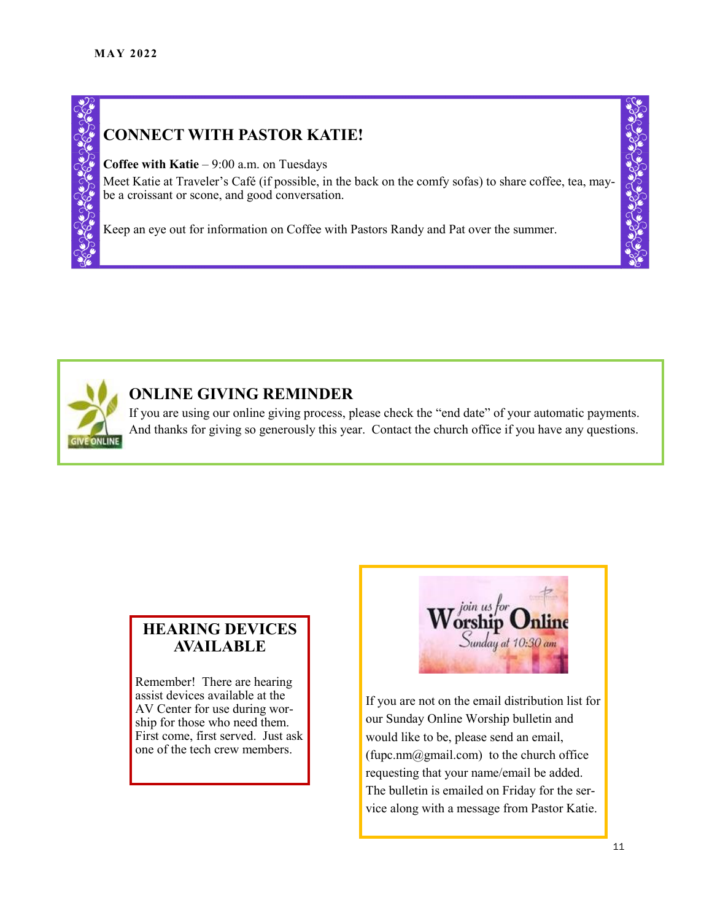# **CONNECT WITH PASTOR KATIE!**

**Coffee with Katie** – 9:00 a.m. on Tuesdays

Meet Katie at Traveler's Café (if possible, in the back on the comfy sofas) to share coffee, tea, maybe a croissant or scone, and good conversation.

Keep an eye out for information on Coffee with Pastors Randy and Pat over the summer.



# **ONLINE GIVING REMINDER**

If you are using our online giving process, please check the "end date" of your automatic payments. And thanks for giving so generously this year. Contact the church office if you have any questions.

### **HEARING DEVICES AVAILABLE**

Remember! There are hearing assist devices available at the AV Center for use during worship for those who need them. First come, first served. Just ask one of the tech crew members.



If you are not on the email distribution list for our Sunday Online Worship bulletin and would like to be, please send an email,  $(fupc.nm@gmail.com)$  to the church office requesting that your name/email be added. The bulletin is emailed on Friday for the service along with a message from Pastor Katie.